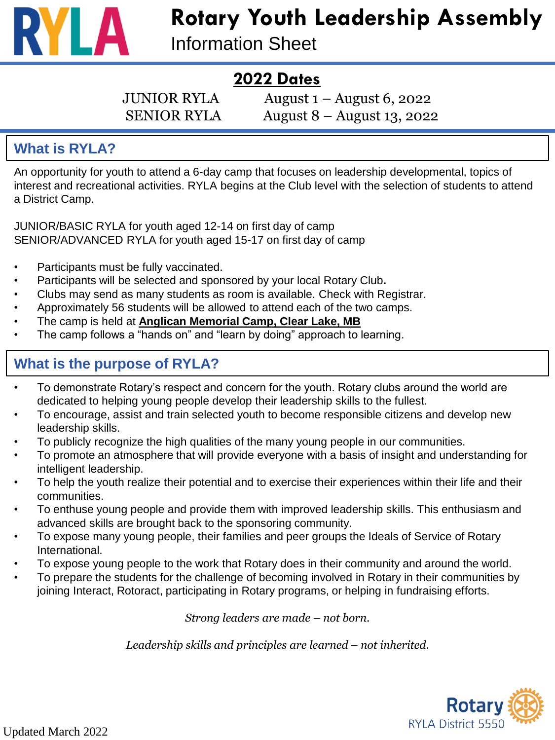

# **Rotary Youth Leadership Assembly**

Information Sheet

# **2022 Dates**

JUNIOR RYLA  $\qquad \qquad$  August 1 – August 6, 2022 SENIOR RYLA August 8 – August 13, 2022

#### **What is RYLA?**

An opportunity for youth to attend a 6-day camp that focuses on leadership developmental, topics of interest and recreational activities. RYLA begins at the Club level with the selection of students to attend a District Camp.

JUNIOR/BASIC RYLA for youth aged 12-14 on first day of camp SENIOR/ADVANCED RYLA for youth aged 15-17 on first day of camp

- Participants must be fully vaccinated.
- Participants will be selected and sponsored by your local Rotary Club**.**
- Clubs may send as many students as room is available. Check with Registrar.
- Approximately 56 students will be allowed to attend each of the two camps.
- The camp is held at **Anglican Memorial Camp, Clear Lake, MB**
- The camp follows a "hands on" and "learn by doing" approach to learning.

# **What is the purpose of RYLA?**

- To demonstrate Rotary's respect and concern for the youth. Rotary clubs around the world are dedicated to helping young people develop their leadership skills to the fullest.
- To encourage, assist and train selected youth to become responsible citizens and develop new leadership skills.
- To publicly recognize the high qualities of the many young people in our communities.
- To promote an atmosphere that will provide everyone with a basis of insight and understanding for intelligent leadership.
- To help the youth realize their potential and to exercise their experiences within their life and their communities.
- To enthuse young people and provide them with improved leadership skills. This enthusiasm and advanced skills are brought back to the sponsoring community.
- To expose many young people, their families and peer groups the Ideals of Service of Rotary International.
- To expose young people to the work that Rotary does in their community and around the world.
- To prepare the students for the challenge of becoming involved in Rotary in their communities by joining Interact, Rotoract, participating in Rotary programs, or helping in fundraising efforts.

*Strong leaders are made – not born.*

Leadership skills and principles are learned – not inherited.

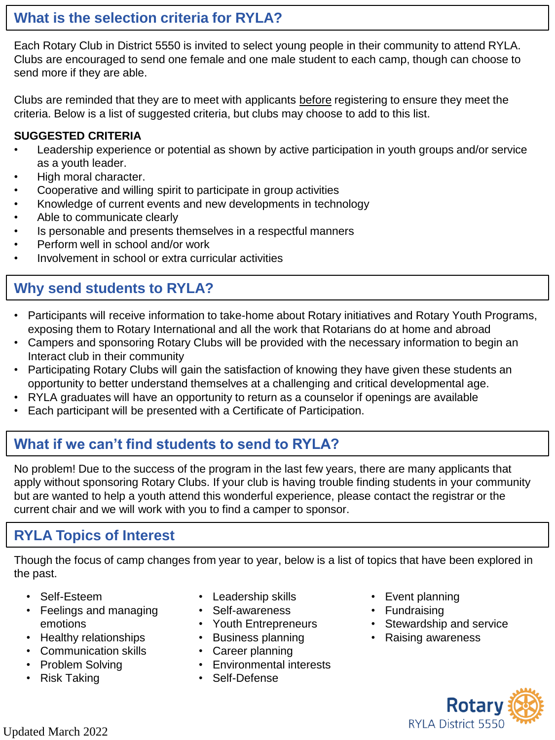#### **What is the selection criteria for RYLA?**

Each Rotary Club in District 5550 is invited to select young people in their community to attend RYLA. Clubs are encouraged to send one female and one male student to each camp, though can choose to send more if they are able.

Clubs are reminded that they are to meet with applicants before registering to ensure they meet the criteria. Below is a list of suggested criteria, but clubs may choose to add to this list.

#### **SUGGESTED CRITERIA**

- Leadership experience or potential as shown by active participation in youth groups and/or service as a youth leader.
- High moral character.
- Cooperative and willing spirit to participate in group activities
- Knowledge of current events and new developments in technology
- Able to communicate clearly
- Is personable and presents themselves in a respectful manners
- Perform well in school and/or work
- Involvement in school or extra curricular activities

# **Why send students to RYLA?**

- Participants will receive information to take-home about Rotary initiatives and Rotary Youth Programs, exposing them to Rotary International and all the work that Rotarians do at home and abroad
- Campers and sponsoring Rotary Clubs will be provided with the necessary information to begin an Interact club in their community
- Participating Rotary Clubs will gain the satisfaction of knowing they have given these students an opportunity to better understand themselves at a challenging and critical developmental age.
- RYLA graduates will have an opportunity to return as a counselor if openings are available
- Each participant will be presented with a Certificate of Participation.

# **What if we can't find students to send to RYLA?**

No problem! Due to the success of the program in the last few years, there are many applicants that apply without sponsoring Rotary Clubs. If your club is having trouble finding students in your community but are wanted to help a youth attend this wonderful experience, please contact the registrar or the current chair and we will work with you to find a camper to sponsor.

# **RYLA Topics of Interest**

Though the focus of camp changes from year to year, below is a list of topics that have been explored in the past.

- Self-Esteem
- Feelings and managing emotions
- Healthy relationships
- Communication skills
- Problem Solving
- Risk Taking
- Leadership skills
- Self-awareness
- Youth Entrepreneurs
- Business planning
- Career planning
- Environmental interests
- Self-Defense
- Event planning
- Fundraising
- Stewardship and service
- Raising awareness